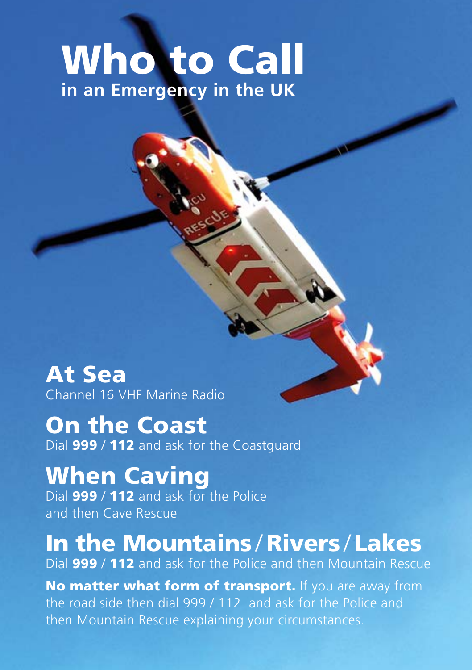## Who to Call **in an Emergency in the UK**

At Sea Channel 16 VHF Marine Radio

On the Coast Dial 999 / 112 and ask for the Coastguard

When Caving Dial 999 / 112 and ask for the Police and then Cave Rescue

In the Mountains / Rivers / Lakes Dial 999 / 112 and ask for the Police and then Mountain Rescue

No matter what form of transport. If you are away from the road side then dial 999 / 112 and ask for the Police and then Mountain Rescue explaining your circumstances.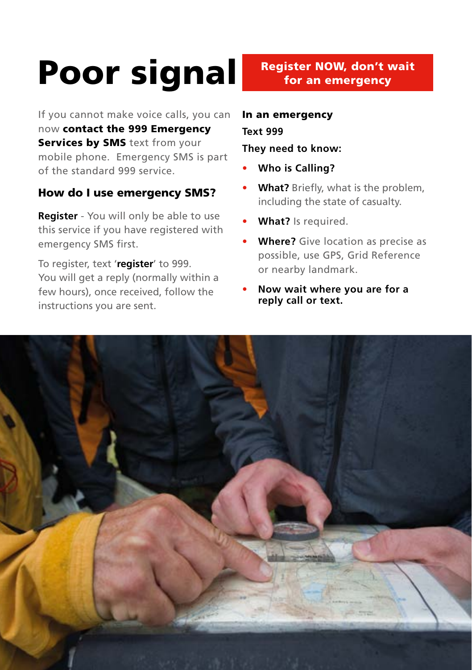# Poor signal Register NOW, don't wait

If you cannot make voice calls, you can now contact the 999 Emergency Services by SMS text from your mobile phone. Emergency SMS is part of the standard 999 service.

### How do I use emergency SMS?

**Register** - You will only be able to use this service if you have registered with emergency SMS first.

To register, text '**register**' to 999. You will get a reply (normally within a few hours), once received, follow the instructions you are sent.

### In an emergency

### **Text 999**

**They need to know:**

- **Who is Calling?**
- **What?** Briefly, what is the problem, including the state of casualty.
- **What?** Is required.
- **Where?** Give location as precise as possible, use GPS, Grid Reference or nearby landmark.
- **Now wait where you are for a reply call or text.**

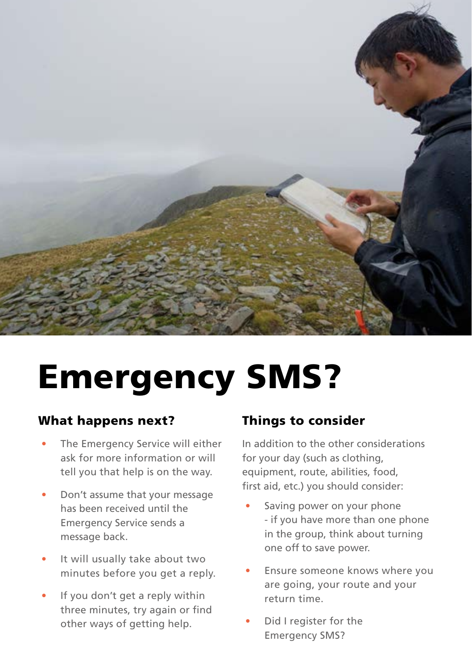

# Emergency SMS?

### What happens next?

- The Emergency Service will either ask for more information or will tell you that help is on the way.
- Don't assume that your message has been received until the Emergency Service sends a message back.
- It will usually take about two minutes before you get a reply.
- If you don't get a reply within three minutes, try again or find other ways of getting help.

### Things to consider

In addition to the other considerations for your day (such as clothing, equipment, route, abilities, food, first aid, etc.) you should consider:

- Saving power on your phone - if you have more than one phone in the group, think about turning one off to save power.
- Ensure someone knows where you are going, your route and your return time.
- Did I register for the Emergency SMS?